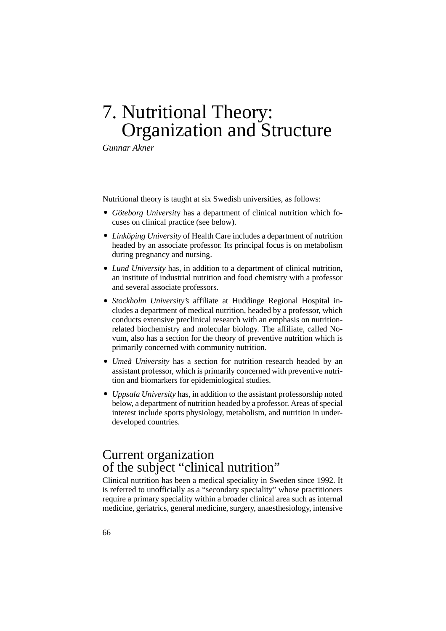## 7. Nutritional Theory: Organization and Structure

*Gunnar Akner*

Nutritional theory is taught at six Swedish universities, as follows:

- *Göteborg Universit*y has a department of clinical nutrition which focuses on clinical practice (see below).
- *Linköping University* of Health Care includes a department of nutrition headed by an associate professor. Its principal focus is on metabolism during pregnancy and nursing.
- *Lund University* has, in addition to a department of clinical nutrition, an institute of industrial nutrition and food chemistry with a professor and several associate professors.
- *Stockholm University's* affiliate at Huddinge Regional Hospital includes a department of medical nutrition, headed by a professor, which conducts extensive preclinical research with an emphasis on nutritionrelated biochemistry and molecular biology. The affiliate, called Novum, also has a section for the theory of preventive nutrition which is primarily concerned with community nutrition.
- *Umeå University* has a section for nutrition research headed by an assistant professor, which is primarily concerned with preventive nutrition and biomarkers for epidemiological studies.
- *Uppsala University* has, in addition to the assistant professorship noted below, a department of nutrition headed by a professor. Areas of special interest include sports physiology, metabolism, and nutrition in underdeveloped countries.

## Current organization of the subject "clinical nutrition"

Clinical nutrition has been a medical speciality in Sweden since 1992. It is referred to unofficially as a "secondary speciality" whose practitioners require a primary speciality within a broader clinical area such as internal medicine, geriatrics, general medicine, surgery, anaesthesiology, intensive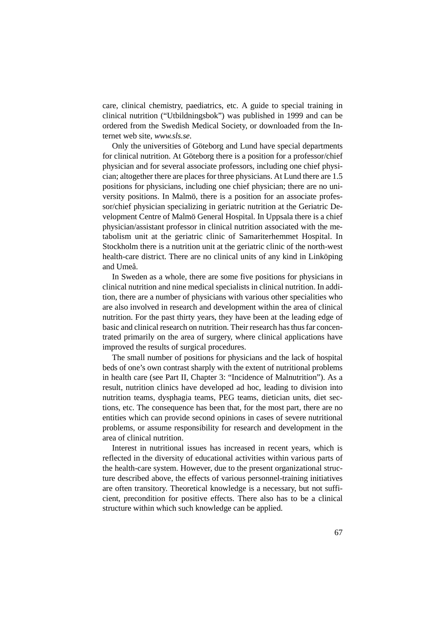care, clinical chemistry, paediatrics, etc. A guide to special training in clinical nutrition ("Utbildningsbok") was published in 1999 and can be ordered from the Swedish Medical Society, or downloaded from the Internet web site, *www.sls.se.*

Only the universities of Göteborg and Lund have special departments for clinical nutrition. At Göteborg there is a position for a professor/chief physician and for several associate professors, including one chief physician; altogether there are places for three physicians. At Lund there are 1.5 positions for physicians, including one chief physician; there are no university positions. In Malmö, there is a position for an associate professor/chief physician specializing in geriatric nutrition at the Geriatric Development Centre of Malmö General Hospital. In Uppsala there is a chief physician/assistant professor in clinical nutrition associated with the metabolism unit at the geriatric clinic of Samariterhemmet Hospital. In Stockholm there is a nutrition unit at the geriatric clinic of the north-west health-care district. There are no clinical units of any kind in Linköping and Umeå.

In Sweden as a whole, there are some five positions for physicians in clinical nutrition and nine medical specialists in clinical nutrition. In addition, there are a number of physicians with various other specialities who are also involved in research and development within the area of clinical nutrition. For the past thirty years, they have been at the leading edge of basic and clinical research on nutrition. Their research has thus far concentrated primarily on the area of surgery, where clinical applications have improved the results of surgical procedures.

The small number of positions for physicians and the lack of hospital beds of one's own contrast sharply with the extent of nutritional problems in health care (see Part II, Chapter 3: "Incidence of Malnutrition"). As a result, nutrition clinics have developed ad hoc, leading to division into nutrition teams, dysphagia teams, PEG teams, dietician units, diet sections, etc. The consequence has been that, for the most part, there are no entities which can provide second opinions in cases of severe nutritional problems, or assume responsibility for research and development in the area of clinical nutrition.

Interest in nutritional issues has increased in recent years, which is reflected in the diversity of educational activities within various parts of the health-care system. However, due to the present organizational structure described above, the effects of various personnel-training initiatives are often transitory. Theoretical knowledge is a necessary, but not sufficient, precondition for positive effects. There also has to be a clinical structure within which such knowledge can be applied.